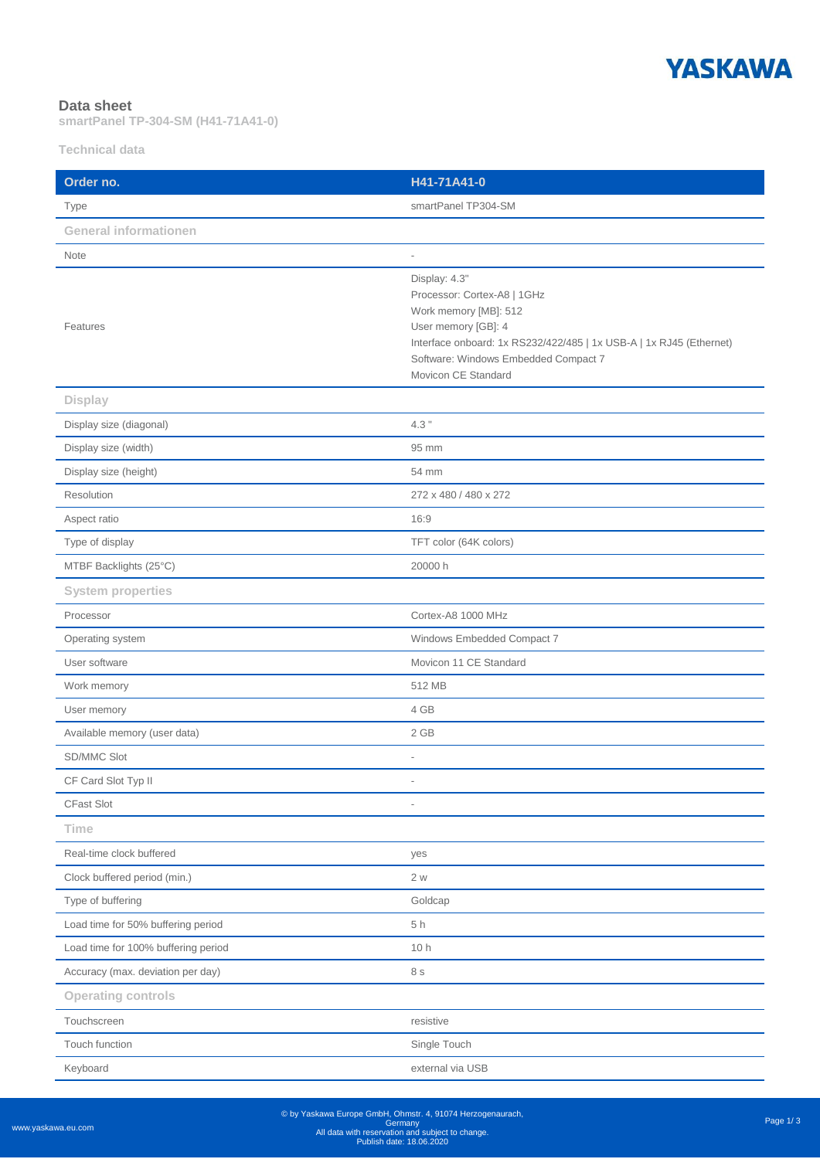

## **Data sheet**

**smartPanel TP-304-SM (H41-71A41-0)**

**Technical data**

| Order no.                           | H41-71A41-0                                                                                                                                                                                                                        |
|-------------------------------------|------------------------------------------------------------------------------------------------------------------------------------------------------------------------------------------------------------------------------------|
| Type                                | smartPanel TP304-SM                                                                                                                                                                                                                |
| <b>General informationen</b>        |                                                                                                                                                                                                                                    |
| Note                                | $\overline{a}$                                                                                                                                                                                                                     |
| Features                            | Display: 4.3"<br>Processor: Cortex-A8   1GHz<br>Work memory [MB]: 512<br>User memory [GB]: 4<br>Interface onboard: 1x RS232/422/485   1x USB-A   1x RJ45 (Ethernet)<br>Software: Windows Embedded Compact 7<br>Movicon CE Standard |
| <b>Display</b>                      |                                                                                                                                                                                                                                    |
| Display size (diagonal)             | $4.3$ "                                                                                                                                                                                                                            |
| Display size (width)                | 95 mm                                                                                                                                                                                                                              |
| Display size (height)               | 54 mm                                                                                                                                                                                                                              |
| Resolution                          | 272 x 480 / 480 x 272                                                                                                                                                                                                              |
| Aspect ratio                        | 16:9                                                                                                                                                                                                                               |
| Type of display                     | TFT color (64K colors)                                                                                                                                                                                                             |
| MTBF Backlights (25°C)              | 20000 h                                                                                                                                                                                                                            |
| <b>System properties</b>            |                                                                                                                                                                                                                                    |
| Processor                           | Cortex-A8 1000 MHz                                                                                                                                                                                                                 |
| Operating system                    | Windows Embedded Compact 7                                                                                                                                                                                                         |
| User software                       | Movicon 11 CE Standard                                                                                                                                                                                                             |
| Work memory                         | 512 MB                                                                                                                                                                                                                             |
| User memory                         | 4 GB                                                                                                                                                                                                                               |
| Available memory (user data)        | 2 GB                                                                                                                                                                                                                               |
| SD/MMC Slot                         |                                                                                                                                                                                                                                    |
| CF Card Slot Typ II                 | $\overline{\phantom{a}}$                                                                                                                                                                                                           |
| CFast Slot                          | i.                                                                                                                                                                                                                                 |
| <b>Time</b>                         |                                                                                                                                                                                                                                    |
| Real-time clock buffered            | yes                                                                                                                                                                                                                                |
| Clock buffered period (min.)        | 2 w                                                                                                                                                                                                                                |
| Type of buffering                   | Goldcap                                                                                                                                                                                                                            |
| Load time for 50% buffering period  | 5h                                                                                                                                                                                                                                 |
| Load time for 100% buffering period | 10 h                                                                                                                                                                                                                               |
| Accuracy (max. deviation per day)   | 8 s                                                                                                                                                                                                                                |
| <b>Operating controls</b>           |                                                                                                                                                                                                                                    |
| Touchscreen                         | resistive                                                                                                                                                                                                                          |
| Touch function                      | Single Touch                                                                                                                                                                                                                       |
| Keyboard                            | external via USB                                                                                                                                                                                                                   |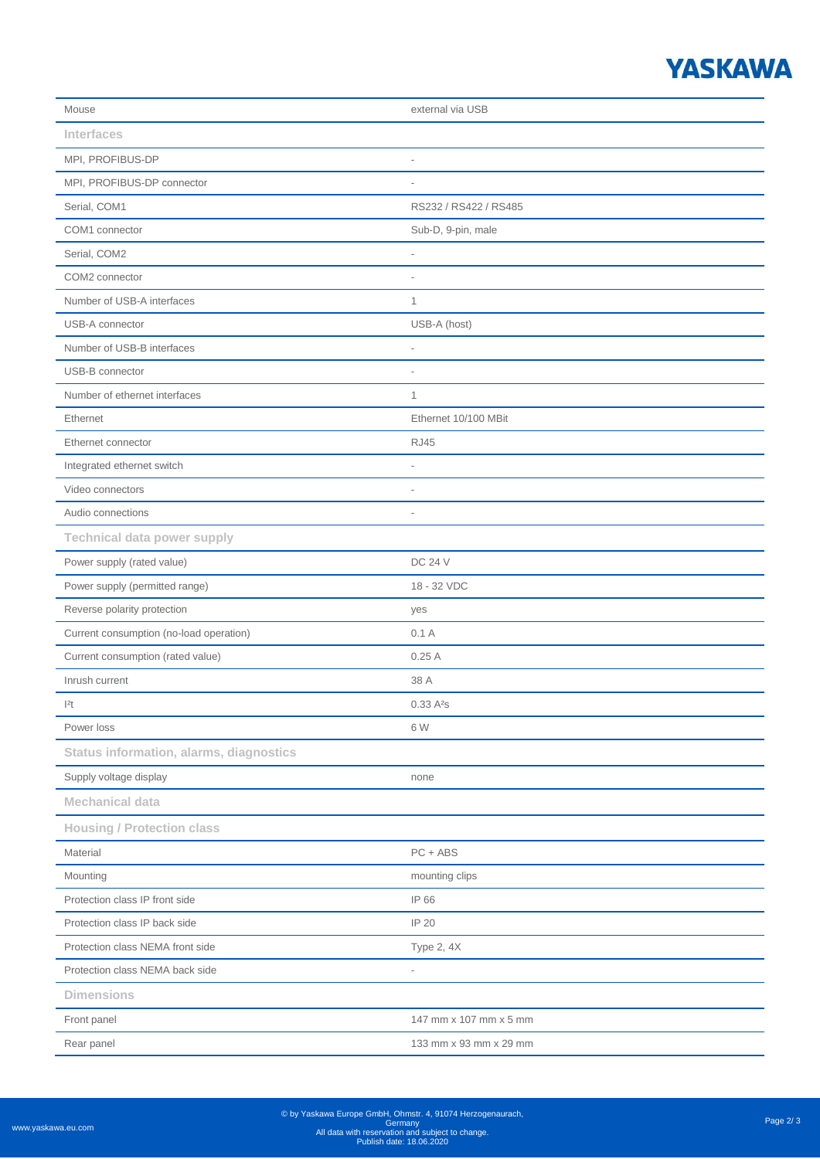## **YASKAWA**

| Mouse                                          | external via USB         |
|------------------------------------------------|--------------------------|
| <b>Interfaces</b>                              |                          |
| MPI, PROFIBUS-DP                               | $\overline{a}$           |
| MPI, PROFIBUS-DP connector                     | $\overline{\phantom{a}}$ |
| Serial, COM1                                   | RS232 / RS422 / RS485    |
| COM1 connector                                 | Sub-D, 9-pin, male       |
| Serial, COM2                                   | i.                       |
| COM2 connector                                 |                          |
| Number of USB-A interfaces                     | $\mathbf{1}$             |
| USB-A connector                                | USB-A (host)             |
| Number of USB-B interfaces                     | $\overline{a}$           |
| USB-B connector                                | $\overline{\phantom{a}}$ |
| Number of ethernet interfaces                  | $\mathbf{1}$             |
| Ethernet                                       | Ethernet 10/100 MBit     |
| Ethernet connector                             | <b>RJ45</b>              |
| Integrated ethernet switch                     | i.                       |
| Video connectors                               | $\overline{a}$           |
| Audio connections                              | $\overline{a}$           |
| <b>Technical data power supply</b>             |                          |
| Power supply (rated value)                     | <b>DC 24 V</b>           |
| Power supply (permitted range)                 | 18 - 32 VDC              |
| Reverse polarity protection                    | yes                      |
| Current consumption (no-load operation)        | 0.1A                     |
| Current consumption (rated value)              | 0.25A                    |
| Inrush current                                 | 38 A                     |
| 2t                                             | 0.33A <sup>2</sup> s     |
| Power loss                                     | 6 W                      |
| <b>Status information, alarms, diagnostics</b> |                          |
| Supply voltage display                         | none                     |
| <b>Mechanical data</b>                         |                          |
| <b>Housing / Protection class</b>              |                          |
| Material                                       | $PC + ABS$               |
| Mounting                                       | mounting clips           |
| Protection class IP front side                 | IP 66                    |
| Protection class IP back side                  | IP 20                    |
| Protection class NEMA front side               | Type 2, 4X               |
| Protection class NEMA back side                | $\overline{a}$           |
| <b>Dimensions</b>                              |                          |
| Front panel                                    | 147 mm x 107 mm x 5 mm   |
| Rear panel                                     | 133 mm x 93 mm x 29 mm   |
|                                                |                          |